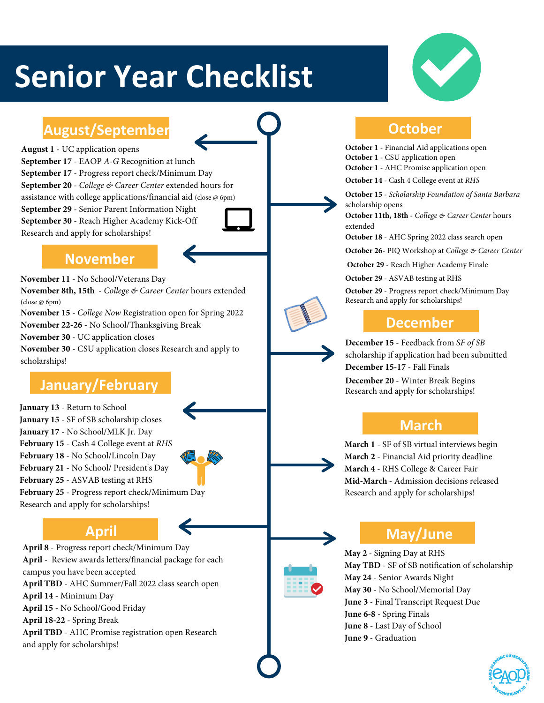# **Senior Year Checklist**



## August/September **COLLEGATES** October

**August 1** - UC application opens **September 17** - EAOP *A-G* Recognition at lunch **September 17** - Progress report check/Minimum Day **September 20** - *College & Career Center* extended hours for assistance with college applications/financial aid (close @ 6pm) **September 29** - Senior Parent Information Night **September 30** - Reach Higher Academy Kick-Off Research and apply for scholarships!

### **November**

**November 11** - No School/Veterans Day **November 8th, 15th** - *College & Career Center* hours extended (close @ 6pm)

**November 15** - *College Now* Registration open for Spring 2022

**November 22-26** - No School/Thanksgiving Break

**November 30** - UC application closes

**November 30** - CSU application closes Research and apply to scholarships!

**January 13** - Return to School **January 15** - SF of SB scholarship closes **January 17** - No School/MLK Jr. Day **February 15** - Cash 4 College event at *RHS* **February 18** - No School/Lincoln Day **February 21** - No School/ President's Day **February 25** - ASVAB testing at RHS **February 25** - Progress report check/Minimum Day Research and apply for scholarships!

**April 8** - Progress report check/Minimum Day **April** - Review awards letters/financial package for each campus you have been accepted **April TBD** - AHC Summer/Fall 2022 class search open **April 14** - Minimum Day **April 15** - No School/Good Friday **April 18-22** - Spring Break **April TBD** - AHC Promise registration open Research and apply for scholarships!

**October 1** - Financial Aid applications open

**October 1** - CSU application open

**October 1** - AHC Promise application open

**October 14** - Cash 4 College event at *RHS*

**October 15** - *Scholarship Foundation of Santa Barbara* scholarship opens

**October 11th, 18th** - *College & Career Center* hours extended

**October 18** - AHC Spring 2022 class search open

**October 26**- PIQ Workshop at *College & Career Center*

**October 29** - Reach Higher Academy Finale

**October 29** - ASVAB testing at RHS

**October 29** - Progress report check/Minimum Day Research and apply for scholarships!

### **December**

**December 15** - Feedback from *SF of SB* scholarship if application had been submitted **December 15-17** - Fall Finals

**December 20** - Winter Break Begins **February Exercise 30 - Winter Break Begins**<br>Research and apply for scholarships!

### **March**

**March 1** - SF of SB virtual interviews begin **March 2** - Financial Aid priority deadline **March 4** - RHS College & Career Fair **Mid-March** - Admission decisions released Research and apply for scholarships!

## April **May/June**

**May 2** - Signing Day at RHS **May TBD** - SF of SB notification of scholarship **May 24** - Senior Awards Night **May 30** - No School/Memorial Day **June 3** - Final Transcript Request Due **June 6-8** - Spring Finals **June 8** - Last Day of School **June 9** - Graduation